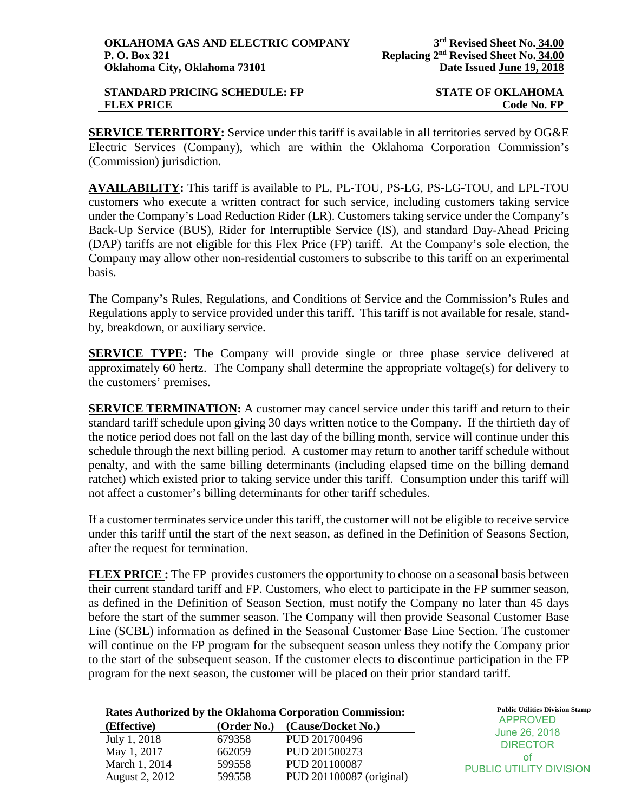| <b>STANDARD PRICING SCHEDULE: FP</b> | <b>STATE OF OKLAHOMA</b> |
|--------------------------------------|--------------------------|
| <b>FLEX PRICE</b>                    | Code No. FP              |

**SERVICE TERRITORY:** Service under this tariff is available in all territories served by OG&E Electric Services (Company), which are within the Oklahoma Corporation Commission's (Commission) jurisdiction.

**AVAILABILITY:** This tariff is available to PL, PL-TOU, PS-LG, PS-LG-TOU, and LPL-TOU customers who execute a written contract for such service, including customers taking service under the Company's Load Reduction Rider (LR). Customers taking service under the Company's Back-Up Service (BUS), Rider for Interruptible Service (IS), and standard Day-Ahead Pricing (DAP) tariffs are not eligible for this Flex Price (FP) tariff. At the Company's sole election, the Company may allow other non-residential customers to subscribe to this tariff on an experimental basis.

The Company's Rules, Regulations, and Conditions of Service and the Commission's Rules and Regulations apply to service provided under this tariff. This tariff is not available for resale, standby, breakdown, or auxiliary service.

**SERVICE TYPE:** The Company will provide single or three phase service delivered at approximately 60 hertz. The Company shall determine the appropriate voltage(s) for delivery to the customers' premises.

**SERVICE TERMINATION:** A customer may cancel service under this tariff and return to their standard tariff schedule upon giving 30 days written notice to the Company. If the thirtieth day of the notice period does not fall on the last day of the billing month, service will continue under this schedule through the next billing period. A customer may return to another tariff schedule without penalty, and with the same billing determinants (including elapsed time on the billing demand ratchet) which existed prior to taking service under this tariff. Consumption under this tariff will not affect a customer's billing determinants for other tariff schedules.

If a customer terminates service under this tariff, the customer will not be eligible to receive service under this tariff until the start of the next season, as defined in the Definition of Seasons Section, after the request for termination.

**FLEX PRICE :** The FP provides customers the opportunity to choose on a seasonal basis between their current standard tariff and FP. Customers, who elect to participate in the FP summer season, as defined in the Definition of Season Section, must notify the Company no later than 45 days before the start of the summer season. The Company will then provide Seasonal Customer Base Line (SCBL) information as defined in the Seasonal Customer Base Line Section. The customer will continue on the FP program for the subsequent season unless they notify the Company prior to the start of the subsequent season. If the customer elects to discontinue participation in the FP program for the next season, the customer will be placed on their prior standard tariff.

|                |             | Rates Authorized by the Oklahoma Corporation Commission: | <b>Public Utilities Division Stamp</b> |
|----------------|-------------|----------------------------------------------------------|----------------------------------------|
| (Effective)    | (Order No.) | (Cause/Docket No.)                                       | <b>APPROVED</b>                        |
| July 1, 2018   | 679358      | PUD 201700496                                            | June 26, 2018<br><b>DIRECTOR</b>       |
| May 1, 2017    | 662059      | PUD 201500273                                            | ΩŤ                                     |
| March 1, 2014  | 599558      | PUD 201100087                                            | <b>PUBLIC UTILITY DIVISION</b>         |
| August 2, 2012 | 599558      | PUD 201100087 (original)                                 |                                        |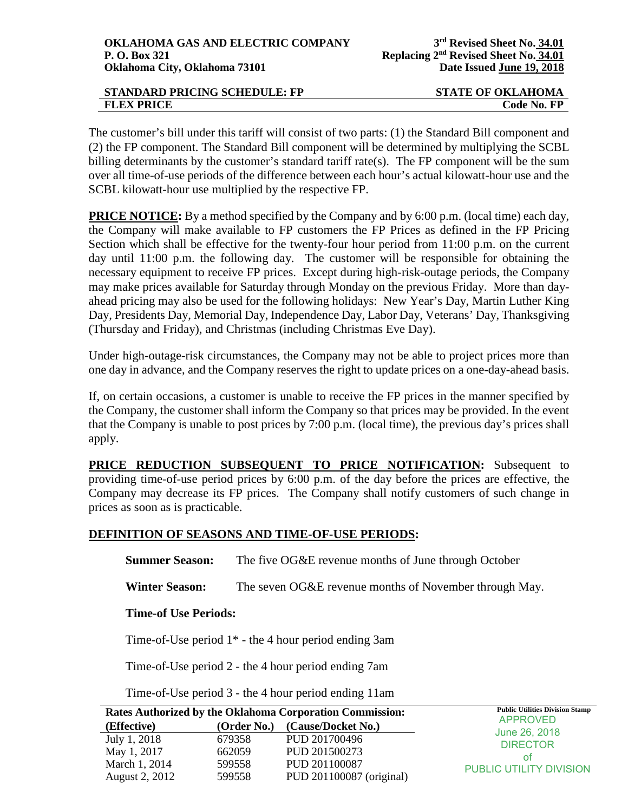| <b>STANDARD PRICING SCHEDULE: FP</b> | <b>STATE OF OKLAHOMA</b> |
|--------------------------------------|--------------------------|
| <b>FLEX PRICE</b>                    | Code No. FP              |

The customer's bill under this tariff will consist of two parts: (1) the Standard Bill component and (2) the FP component. The Standard Bill component will be determined by multiplying the SCBL billing determinants by the customer's standard tariff rate(s). The FP component will be the sum over all time-of-use periods of the difference between each hour's actual kilowatt-hour use and the SCBL kilowatt-hour use multiplied by the respective FP.

**PRICE NOTICE:** By a method specified by the Company and by 6:00 p.m. (local time) each day, the Company will make available to FP customers the FP Prices as defined in the FP Pricing Section which shall be effective for the twenty-four hour period from 11:00 p.m. on the current day until 11:00 p.m. the following day. The customer will be responsible for obtaining the necessary equipment to receive FP prices. Except during high-risk-outage periods, the Company may make prices available for Saturday through Monday on the previous Friday. More than dayahead pricing may also be used for the following holidays: New Year's Day, Martin Luther King Day, Presidents Day, Memorial Day, Independence Day, Labor Day, Veterans' Day, Thanksgiving (Thursday and Friday), and Christmas (including Christmas Eve Day).

Under high-outage-risk circumstances, the Company may not be able to project prices more than one day in advance, and the Company reserves the right to update prices on a one-day-ahead basis.

If, on certain occasions, a customer is unable to receive the FP prices in the manner specified by the Company, the customer shall inform the Company so that prices may be provided. In the event that the Company is unable to post prices by 7:00 p.m. (local time), the previous day's prices shall apply.

**PRICE REDUCTION SUBSEQUENT TO PRICE NOTIFICATION:** Subsequent to providing time-of-use period prices by 6:00 p.m. of the day before the prices are effective, the Company may decrease its FP prices. The Company shall notify customers of such change in prices as soon as is practicable.

## **DEFINITION OF SEASONS AND TIME-OF-USE PERIODS:**

**Summer Season:** The five OG&E revenue months of June through October

**Winter Season:** The seven OG&E revenue months of November through May.

## **Time-of Use Periods:**

Time-of-Use period 1\* - the 4 hour period ending 3am

Time-of-Use period 2 - the 4 hour period ending 7am

Time-of-Use period 3 - the 4 hour period ending 11am

|                       |             | <b>Rates Authorized by the Oklahoma Corporation Commission:</b> | <b>Public Utilities Division Stamp</b> |
|-----------------------|-------------|-----------------------------------------------------------------|----------------------------------------|
| (Effective)           | (Order No.) | (Cause/Docket No.)                                              | <b>APPROVED</b>                        |
| July 1, 2018          | 679358      | PUD 201700496                                                   | June 26, 2018                          |
| May 1, 2017           | 662059      | PUD 201500273                                                   | <b>DIRECTOR</b><br>ΩŤ                  |
| March 1, 2014         | 599558      | PUD 201100087                                                   | <b>PUBLIC UTILITY DIVISION</b>         |
| <b>August 2, 2012</b> | 599558      | PUD 201100087 (original)                                        |                                        |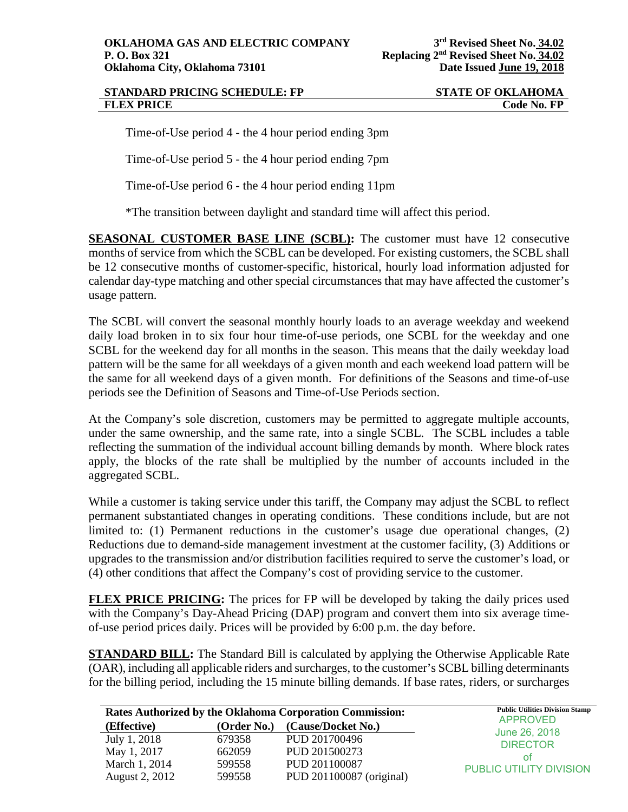## **STANDARD PRICING SCHEDULE: FP STATE OF OKLAHOMA FLEX PRICE** Code No. FP

Time-of-Use period 4 - the 4 hour period ending 3pm

Time-of-Use period 5 - the 4 hour period ending 7pm

Time-of-Use period 6 - the 4 hour period ending 11pm

\*The transition between daylight and standard time will affect this period.

**SEASONAL CUSTOMER BASE LINE (SCBL):** The customer must have 12 consecutive months of service from which the SCBL can be developed. For existing customers, the SCBL shall be 12 consecutive months of customer-specific, historical, hourly load information adjusted for calendar day-type matching and other special circumstances that may have affected the customer's usage pattern.

The SCBL will convert the seasonal monthly hourly loads to an average weekday and weekend daily load broken in to six four hour time-of-use periods, one SCBL for the weekday and one SCBL for the weekend day for all months in the season. This means that the daily weekday load pattern will be the same for all weekdays of a given month and each weekend load pattern will be the same for all weekend days of a given month. For definitions of the Seasons and time-of-use periods see the Definition of Seasons and Time-of-Use Periods section.

At the Company's sole discretion, customers may be permitted to aggregate multiple accounts, under the same ownership, and the same rate, into a single SCBL. The SCBL includes a table reflecting the summation of the individual account billing demands by month. Where block rates apply, the blocks of the rate shall be multiplied by the number of accounts included in the aggregated SCBL.

While a customer is taking service under this tariff, the Company may adjust the SCBL to reflect permanent substantiated changes in operating conditions. These conditions include, but are not limited to: (1) Permanent reductions in the customer's usage due operational changes, (2) Reductions due to demand-side management investment at the customer facility, (3) Additions or upgrades to the transmission and/or distribution facilities required to serve the customer's load, or (4) other conditions that affect the Company's cost of providing service to the customer.

**FLEX PRICE PRICING:** The prices for FP will be developed by taking the daily prices used with the Company's Day-Ahead Pricing (DAP) program and convert them into six average timeof-use period prices daily. Prices will be provided by 6:00 p.m. the day before.

**STANDARD BILL:** The Standard Bill is calculated by applying the Otherwise Applicable Rate (OAR), including all applicable riders and surcharges, to the customer's SCBL billing determinants for the billing period, including the 15 minute billing demands. If base rates, riders, or surcharges

| <b>Rates Authorized by the Oklahoma Corporation Commission:</b> |             | <b>Public Utilities Division Stamp</b> |                                  |
|-----------------------------------------------------------------|-------------|----------------------------------------|----------------------------------|
| (Effective)                                                     | (Order No.) | (Cause/Docket No.)                     | <b>APPROVED</b>                  |
| July 1, 2018                                                    | 679358      | PUD 201700496                          | June 26, 2018<br><b>DIRECTOR</b> |
| May 1, 2017                                                     | 662059      | PUD 201500273                          | nt                               |
| March 1, 2014                                                   | 599558      | PUD 201100087                          | <b>PUBLIC UTILITY DIVISION</b>   |
| August 2, 2012                                                  | 599558      | PUD 201100087 (original)               |                                  |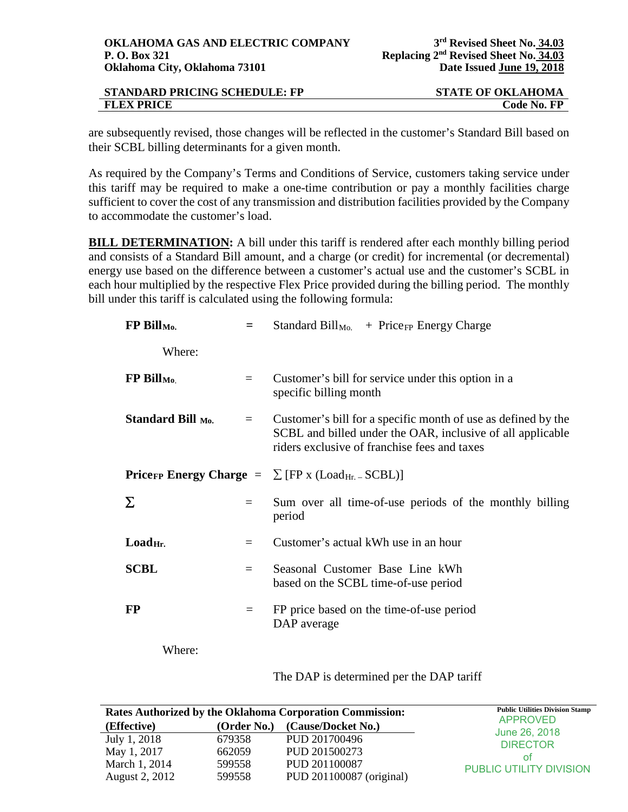| <b>STANDARD PRICING SCHEDULE: FP</b> | <b>STATE OF OKLAHOMA</b> |
|--------------------------------------|--------------------------|
| <b>FLEX PRICE</b>                    | Code No. FP              |

are subsequently revised, those changes will be reflected in the customer's Standard Bill based on their SCBL billing determinants for a given month.

As required by the Company's Terms and Conditions of Service, customers taking service under this tariff may be required to make a one-time contribution or pay a monthly facilities charge sufficient to cover the cost of any transmission and distribution facilities provided by the Company to accommodate the customer's load.

**BILL DETERMINATION:** A bill under this tariff is rendered after each monthly billing period and consists of a Standard Bill amount, and a charge (or credit) for incremental (or decremental) energy use based on the difference between a customer's actual use and the customer's SCBL in each hour multiplied by the respective Flex Price provided during the billing period. The monthly bill under this tariff is calculated using the following formula:

| FP Bill <sub>Mo.</sub>                                                   | $=$ | Standard Bill <sub>Mo.</sub> + Price <sub>FP</sub> Energy Charge                                                                                                            |  |
|--------------------------------------------------------------------------|-----|-----------------------------------------------------------------------------------------------------------------------------------------------------------------------------|--|
| Where:                                                                   |     |                                                                                                                                                                             |  |
| $FP$ Bill <sub>Mo.</sub>                                                 | $=$ | Customer's bill for service under this option in a<br>specific billing month                                                                                                |  |
| Standard Bill Mo.                                                        | $=$ | Customer's bill for a specific month of use as defined by the<br>SCBL and billed under the OAR, inclusive of all applicable<br>riders exclusive of franchise fees and taxes |  |
| <b>Pricer Energy Charge</b> = $\sum$ [FP x (Load <sub>Hr. -</sub> SCBL)] |     |                                                                                                                                                                             |  |
| Σ                                                                        | $=$ | Sum over all time-of-use periods of the monthly billing<br>period                                                                                                           |  |
| Load <sub>Hr.</sub>                                                      | $=$ | Customer's actual kWh use in an hour                                                                                                                                        |  |
| <b>SCBL</b>                                                              | $=$ | Seasonal Customer Base Line kWh<br>based on the SCBL time-of-use period                                                                                                     |  |
| <b>FP</b>                                                                | $=$ | FP price based on the time-of-use period<br>DAP average                                                                                                                     |  |
| Where:                                                                   |     |                                                                                                                                                                             |  |

## The DAP is determined per the DAP tariff

|                |             | <b>Rates Authorized by the Oklahoma Corporation Commission:</b> | <b>Public Utilities Division Stamp</b><br><b>APPROVED</b> |
|----------------|-------------|-----------------------------------------------------------------|-----------------------------------------------------------|
| (Effective)    | (Order No.) | (Cause/Docket No.)                                              | June 26, 2018                                             |
| July 1, 2018   | 679358      | PUD 201700496                                                   | <b>DIRECTOR</b>                                           |
| May 1, 2017    | 662059      | PUD 201500273                                                   | ΟŤ                                                        |
| March 1, 2014  | 599558      | PUD 201100087                                                   | <b>PUBLIC UTILITY DIVISION</b>                            |
| August 2, 2012 | 599558      | PUD 201100087 (original)                                        |                                                           |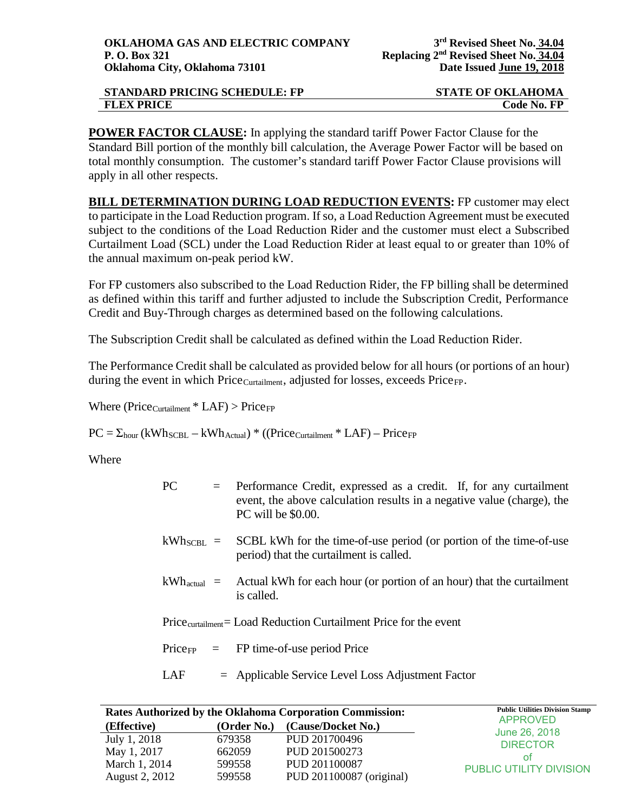| <b>STANDARD PRICING SCHEDULE: FP</b> | <b>STATE OF OKLAHOMA</b> |
|--------------------------------------|--------------------------|
| <b>FLEX PRICE</b>                    | Code No. FP              |

**POWER FACTOR CLAUSE:** In applying the standard tariff Power Factor Clause for the Standard Bill portion of the monthly bill calculation, the Average Power Factor will be based on total monthly consumption. The customer's standard tariff Power Factor Clause provisions will apply in all other respects.

**BILL DETERMINATION DURING LOAD REDUCTION EVENTS:** FP customer may elect to participate in the Load Reduction program. If so, a Load Reduction Agreement must be executed subject to the conditions of the Load Reduction Rider and the customer must elect a Subscribed Curtailment Load (SCL) under the Load Reduction Rider at least equal to or greater than 10% of the annual maximum on-peak period kW.

For FP customers also subscribed to the Load Reduction Rider, the FP billing shall be determined as defined within this tariff and further adjusted to include the Subscription Credit, Performance Credit and Buy-Through charges as determined based on the following calculations.

The Subscription Credit shall be calculated as defined within the Load Reduction Rider.

The Performance Credit shall be calculated as provided below for all hours (or portions of an hour) during the event in which  $Price_{\text{Cuttailment}}$ , adjusted for losses, exceeds  $Price_{\text{FP}}$ .

Where ( $Price_{\text{Cuttailment}} * LAF$ ) >  $Price_{FP}$ 

 $PC = \Sigma_{\text{hour}} (kWh_{\text{SCBL}} - kWh_{\text{Actual}}) * ((Price_{\text{Cuttailment}} * LAF) - Price_{FP})$ 

Where

| <b>PC</b>               | $=$ Performance Credit, expressed as a credit. If, for any curtailment<br>event, the above calculation results in a negative value (charge), the<br>PC will be \$0.00. |
|-------------------------|------------------------------------------------------------------------------------------------------------------------------------------------------------------------|
| $kWh_{\text{SCBL}}$ =   | SCBL kWh for the time-of-use period (or portion of the time-of-use<br>period) that the curtailment is called.                                                          |
| $kWh_{\text{actual}}$ = | Actual kWh for each hour (or portion of an hour) that the curtailment<br>is called.                                                                                    |
|                         | Price <sub>curtailment</sub> = Load Reduction Curtailment Price for the event                                                                                          |
|                         | $Price_{FP}$ = FP time-of-use period Price                                                                                                                             |
| LAF                     | $=$ Applicable Service Level Loss Adjustment Factor                                                                                                                    |

| <b>Rates Authorized by the Oklahoma Corporation Commission:</b> |             | <b>Public Utilities Division Stamp</b> |                                  |
|-----------------------------------------------------------------|-------------|----------------------------------------|----------------------------------|
| (Effective)                                                     | (Order No.) | (Cause/Docket No.)                     | <b>APPROVED</b>                  |
| July 1, 2018                                                    | 679358      | PUD 201700496                          | June 26, 2018<br><b>DIRECTOR</b> |
| May 1, 2017                                                     | 662059      | PUD 201500273                          | nt                               |
| March 1, 2014                                                   | 599558      | PUD 201100087                          | <b>PUBLIC UTILITY DIVISION</b>   |
| August 2, 2012                                                  | 599558      | PUD 201100087 (original)               |                                  |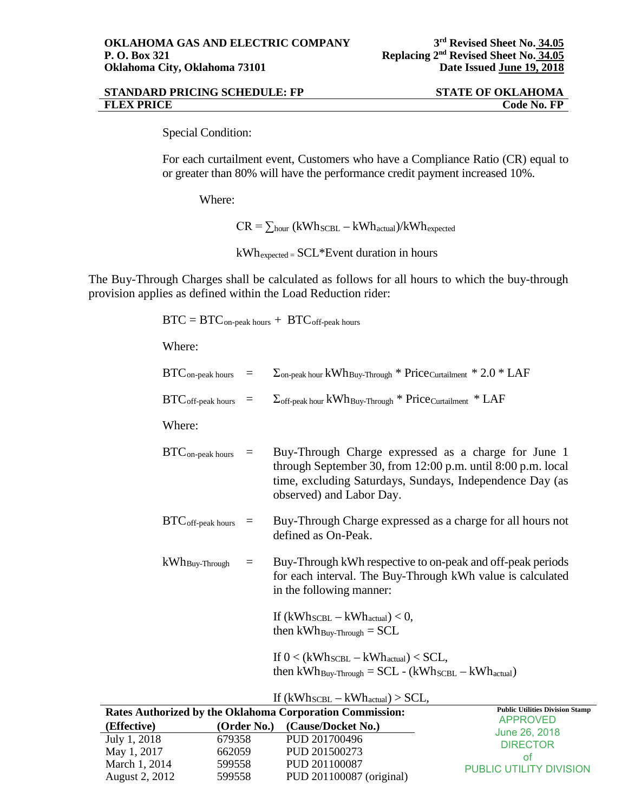| <b>STANDARD PRICING SCHEDULE: FP</b> | <b>STATE OF OKLAHOMA</b> |
|--------------------------------------|--------------------------|
| <b>FLEX PRICE</b>                    | Code No. FP              |

Special Condition:

For each curtailment event, Customers who have a Compliance Ratio (CR) equal to or greater than 80% will have the performance credit payment increased 10%.

Where:

 $CR = \sum_{hour} (kWh_{SCBL} - kWh_{actual})/kWh_{expected}$ 

kWhexpected = SCL\*Event duration in hours

The Buy-Through Charges shall be calculated as follows for all hours to which the buy-through provision applies as defined within the Load Reduction rider:

 $BTC = BTC$  on-peak hours  $+$   $BTC$  off-peak hours

Where:

| $BTC_{\text{on-peak hours}}$ =         |                 | $\Sigma_{\text{on-peak hour}}$ kWh <sub>Buy-Through</sub> * Price <sub>Curtailment</sub> * 2.0 * LAF                                                                                                       |
|----------------------------------------|-----------------|------------------------------------------------------------------------------------------------------------------------------------------------------------------------------------------------------------|
| $\text{BTC}_{\text{off-peak hours}}$ = |                 | $\Sigma_{\text{off-peak hour}}$ kWh <sub>Buy-Through</sub> * Price <sub>Curtailment</sub> * LAF                                                                                                            |
| Where:                                 |                 |                                                                                                                                                                                                            |
| $BTC$ <sub>on-peak</sub> hours         | $\equiv$        | Buy-Through Charge expressed as a charge for June 1<br>through September 30, from 12:00 p.m. until 8:00 p.m. local<br>time, excluding Saturdays, Sundays, Independence Day (as<br>observed) and Labor Day. |
| $BTC$ off-peak hours                   | $\equiv$        | Buy-Through Charge expressed as a charge for all hours not<br>defined as On-Peak.                                                                                                                          |
| $kWh_{\text{Buy-Through}}$             | $\!\!\!=\!\!\!$ | Buy-Through kWh respective to on-peak and off-peak periods<br>for each interval. The Buy-Through kWh value is calculated<br>in the following manner:                                                       |
|                                        |                 | If $(kWh_{\text{SCBL}} - kWh_{\text{actual}}) < 0$ ,<br>then $kWh_{\text{Buy-Throught}} = SCL$                                                                                                             |
|                                        |                 | If $0 < (kWh_{\text{SCBL}} - kWh_{\text{actual}}) < \text{SCL}$ ,<br>then $kWh_{\text{Buy-Throught}} = SCL - (kWh_{\text{SCBL}} - kWh_{\text{actual}})$                                                    |

| If $(kWh_{\text{SCBL}} - kWh_{\text{actual}}) > SCL$ , |  |  |
|--------------------------------------------------------|--|--|
|--------------------------------------------------------|--|--|

| Rates Authorized by the Oklahoma Corporation Commission: | <b>Public Utilities Division Stamp</b> |                          |                                  |
|----------------------------------------------------------|----------------------------------------|--------------------------|----------------------------------|
| (Effective)                                              | (Order No.)                            | (Cause/Docket No.)       | <b>APPROVED</b><br>June 26, 2018 |
| July 1, 2018                                             | 679358                                 | PUD 201700496            | <b>DIRECTOR</b>                  |
| May 1, 2017                                              | 662059                                 | PUD 201500273            | ΩŤ                               |
| March 1, 2014                                            | 599558                                 | PUD 201100087            | <b>PUBLIC UTILITY DIVISION</b>   |
| August 2, 2012                                           | 599558                                 | PUD 201100087 (original) |                                  |